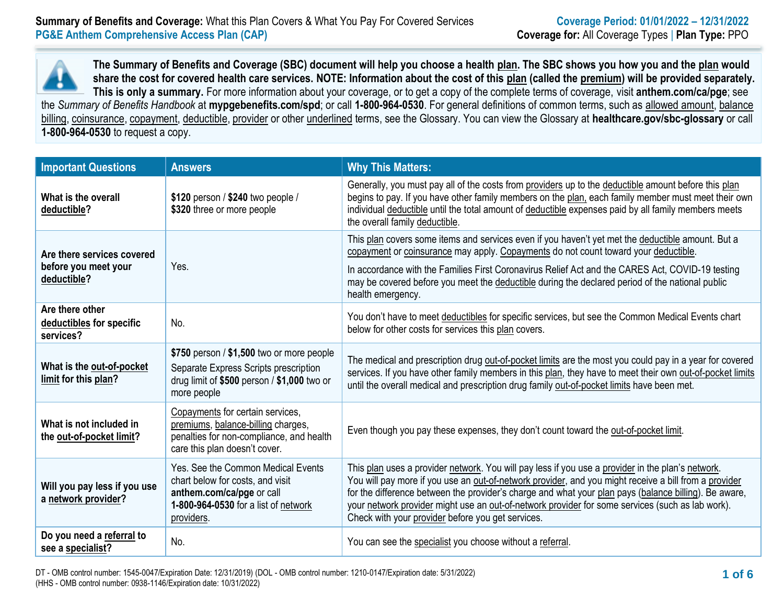

**The Summary of Benefits and Coverage (SBC) document will help you choose a health plan. The SBC shows you how you and the plan would share the cost for covered health care services. NOTE: Information about the cost of this plan (called the premium) will be provided separately. This is only a summary.** For more information about your coverage, or to get a copy of the complete terms of coverage, visit **anthem.com/ca/pge**; see the *Summary of Benefits Handbook* at **mypgebenefits.com/spd**; or call **1-800-964-0530**. For general definitions of common terms, such as allowed amount, balance billing, coinsurance, copayment, deductible, provider or other underlined terms, see the Glossary. You can view the Glossary at **[healthcare.gov/sbc-glossary](https://www.healthcare.gov/sbc-glossary/)** or call

**1-800-964-0530** to request a copy.

| <b>Important Questions</b>                                        | <b>Answers</b>                                                                                                                                            | <b>Why This Matters:</b>                                                                                                                                                                                                                                                                                                                                                                                                                                                     |  |  |  |  |
|-------------------------------------------------------------------|-----------------------------------------------------------------------------------------------------------------------------------------------------------|------------------------------------------------------------------------------------------------------------------------------------------------------------------------------------------------------------------------------------------------------------------------------------------------------------------------------------------------------------------------------------------------------------------------------------------------------------------------------|--|--|--|--|
| What is the overall<br>deductible?                                | \$120 person / \$240 two people /<br>\$320 three or more people                                                                                           | Generally, you must pay all of the costs from providers up to the deductible amount before this plan<br>begins to pay. If you have other family members on the plan, each family member must meet their own<br>individual deductible until the total amount of deductible expenses paid by all family members meets<br>the overall family deductible.                                                                                                                        |  |  |  |  |
| Are there services covered<br>before you meet your<br>deductible? | Yes.                                                                                                                                                      | This plan covers some items and services even if you haven't yet met the deductible amount. But a<br>copayment or coinsurance may apply. Copayments do not count toward your deductible.<br>In accordance with the Families First Coronavirus Relief Act and the CARES Act, COVID-19 testing<br>may be covered before you meet the deductible during the declared period of the national public<br>health emergency.                                                         |  |  |  |  |
| Are there other<br>deductibles for specific<br>services?          | No.                                                                                                                                                       | You don't have to meet deductibles for specific services, but see the Common Medical Events chart<br>below for other costs for services this plan covers.                                                                                                                                                                                                                                                                                                                    |  |  |  |  |
| What is the out-of-pocket<br>limit for this plan?                 | \$750 person $/$ \$1,500 two or more people<br>Separate Express Scripts prescription<br>drug limit of $$500$ person / $$1,000$ two or<br>more people      | The medical and prescription drug out-of-pocket limits are the most you could pay in a year for covered<br>services. If you have other family members in this plan, they have to meet their own out-of-pocket limits<br>until the overall medical and prescription drug family out-of-pocket limits have been met.                                                                                                                                                           |  |  |  |  |
| What is not included in<br>the out-of-pocket limit?               | Copayments for certain services,<br>premiums, balance-billing charges,<br>penalties for non-compliance, and health<br>care this plan doesn't cover.       | Even though you pay these expenses, they don't count toward the out-of-pocket limit.                                                                                                                                                                                                                                                                                                                                                                                         |  |  |  |  |
| Will you pay less if you use<br>a network provider?               | Yes. See the Common Medical Events<br>chart below for costs, and visit<br>anthem.com/ca/pge or call<br>1-800-964-0530 for a list of network<br>providers. | This plan uses a provider network. You will pay less if you use a provider in the plan's network.<br>You will pay more if you use an out-of-network provider, and you might receive a bill from a provider<br>for the difference between the provider's charge and what your plan pays (balance billing). Be aware,<br>your network provider might use an out-of-network provider for some services (such as lab work).<br>Check with your provider before you get services. |  |  |  |  |
| Do you need a referral to<br>see a specialist?                    | No.                                                                                                                                                       | You can see the specialist you choose without a referral.                                                                                                                                                                                                                                                                                                                                                                                                                    |  |  |  |  |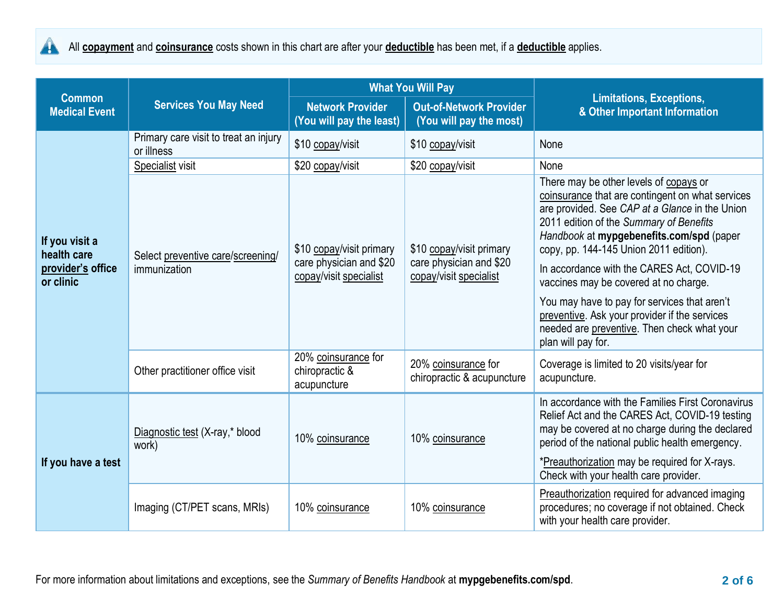

|                                                                 |                                                     |                                                                               | <b>What You Will Pay</b>                                                      | <b>Limitations, Exceptions,</b><br>& Other Important Information                                                                                                                                                                                                                                                                                                                                                                                                                                                                           |  |
|-----------------------------------------------------------------|-----------------------------------------------------|-------------------------------------------------------------------------------|-------------------------------------------------------------------------------|--------------------------------------------------------------------------------------------------------------------------------------------------------------------------------------------------------------------------------------------------------------------------------------------------------------------------------------------------------------------------------------------------------------------------------------------------------------------------------------------------------------------------------------------|--|
| <b>Common</b><br><b>Medical Event</b>                           | <b>Services You May Need</b>                        | <b>Network Provider</b><br>(You will pay the least)                           | <b>Out-of-Network Provider</b><br>(You will pay the most)                     |                                                                                                                                                                                                                                                                                                                                                                                                                                                                                                                                            |  |
|                                                                 | Primary care visit to treat an injury<br>or illness | \$10 copay/visit                                                              | \$10 copay/visit                                                              | None                                                                                                                                                                                                                                                                                                                                                                                                                                                                                                                                       |  |
|                                                                 | Specialist visit                                    | \$20 copay/visit                                                              | \$20 copay/visit                                                              | None                                                                                                                                                                                                                                                                                                                                                                                                                                                                                                                                       |  |
| If you visit a<br>health care<br>provider's office<br>or clinic | Select preventive care/screening/<br>immunization   | \$10 copay/visit primary<br>care physician and \$20<br>copay/visit specialist | \$10 copay/visit primary<br>care physician and \$20<br>copay/visit specialist | There may be other levels of copays or<br>coinsurance that are contingent on what services<br>are provided. See CAP at a Glance in the Union<br>2011 edition of the Summary of Benefits<br>Handbook at mypgebenefits.com/spd (paper<br>copy, pp. 144-145 Union 2011 edition).<br>In accordance with the CARES Act, COVID-19<br>vaccines may be covered at no charge.<br>You may have to pay for services that aren't<br>preventive. Ask your provider if the services<br>needed are preventive. Then check what your<br>plan will pay for. |  |
|                                                                 | Other practitioner office visit                     | 20% coinsurance for<br>chiropractic &<br>acupuncture                          | 20% coinsurance for<br>chiropractic & acupuncture                             | Coverage is limited to 20 visits/year for<br>acupuncture.                                                                                                                                                                                                                                                                                                                                                                                                                                                                                  |  |
| If you have a test                                              | Diagnostic test (X-ray,* blood<br>work)             | 10% coinsurance                                                               | 10% coinsurance                                                               | In accordance with the Families First Coronavirus<br>Relief Act and the CARES Act, COVID-19 testing<br>may be covered at no charge during the declared<br>period of the national public health emergency.<br>*Preauthorization may be required for X-rays.<br>Check with your health care provider.                                                                                                                                                                                                                                        |  |
|                                                                 | Imaging (CT/PET scans, MRIs)                        | 10% coinsurance                                                               | 10% coinsurance                                                               | Preauthorization required for advanced imaging<br>procedures; no coverage if not obtained. Check<br>with your health care provider.                                                                                                                                                                                                                                                                                                                                                                                                        |  |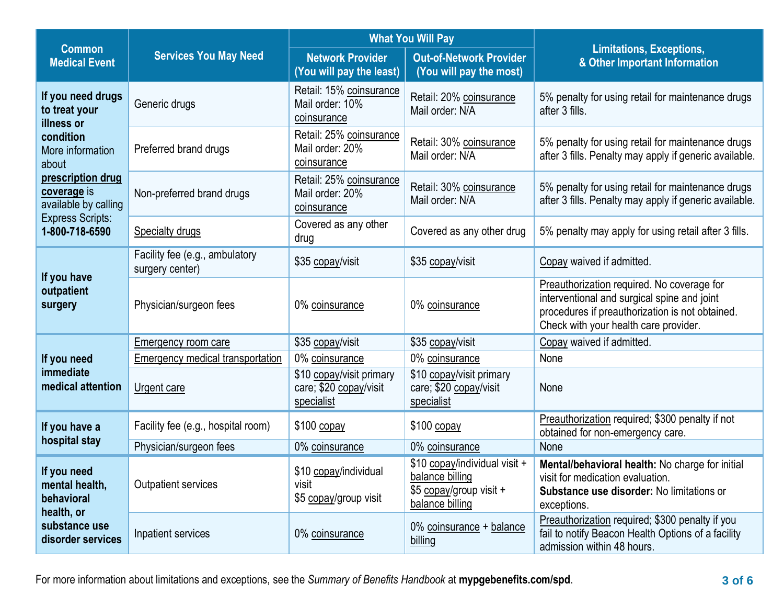|                                                                                            |                                                   |                                                                                                                  | <b>What You Will Pay</b>                                                                       |                                                                                                                                                                                       |  |
|--------------------------------------------------------------------------------------------|---------------------------------------------------|------------------------------------------------------------------------------------------------------------------|------------------------------------------------------------------------------------------------|---------------------------------------------------------------------------------------------------------------------------------------------------------------------------------------|--|
| <b>Common</b><br><b>Medical Event</b>                                                      | <b>Services You May Need</b>                      | <b>Network Provider</b><br><b>Out-of-Network Provider</b><br>(You will pay the least)<br>(You will pay the most) |                                                                                                | <b>Limitations, Exceptions,</b><br>& Other Important Information                                                                                                                      |  |
| If you need drugs<br>to treat your<br>illness or<br>condition<br>More information<br>about | Generic drugs                                     | Retail: 15% coinsurance<br>Mail order: 10%<br>coinsurance                                                        | Retail: 20% coinsurance<br>Mail order: N/A                                                     | 5% penalty for using retail for maintenance drugs<br>after 3 fills.                                                                                                                   |  |
|                                                                                            | Preferred brand drugs                             | Retail: 25% coinsurance<br>Mail order: 20%<br>coinsurance                                                        | Retail: 30% coinsurance<br>Mail order: N/A                                                     | 5% penalty for using retail for maintenance drugs<br>after 3 fills. Penalty may apply if generic available.                                                                           |  |
| prescription drug<br>coverage is<br>available by calling                                   | Non-preferred brand drugs                         | Retail: 25% coinsurance<br>Mail order: 20%<br>coinsurance                                                        | Retail: 30% coinsurance<br>Mail order: N/A                                                     | 5% penalty for using retail for maintenance drugs<br>after 3 fills. Penalty may apply if generic available.                                                                           |  |
| <b>Express Scripts:</b><br>1-800-718-6590                                                  | Specialty drugs                                   | Covered as any other<br>drug                                                                                     | Covered as any other drug                                                                      | 5% penalty may apply for using retail after 3 fills.                                                                                                                                  |  |
| If you have<br>outpatient<br>surgery                                                       | Facility fee (e.g., ambulatory<br>surgery center) | \$35 copay/visit                                                                                                 | \$35 copay/visit                                                                               | Copay waived if admitted.                                                                                                                                                             |  |
|                                                                                            | Physician/surgeon fees                            | 0% coinsurance                                                                                                   | 0% coinsurance                                                                                 | Preauthorization required. No coverage for<br>interventional and surgical spine and joint<br>procedures if preauthorization is not obtained.<br>Check with your health care provider. |  |
|                                                                                            | <b>Emergency room care</b>                        | \$35 copay/visit                                                                                                 | \$35 copay/visit                                                                               | Copay waived if admitted.                                                                                                                                                             |  |
| If you need                                                                                | Emergency medical transportation                  | 0% coinsurance                                                                                                   | 0% coinsurance                                                                                 | None                                                                                                                                                                                  |  |
| immediate<br>medical attention                                                             | Urgent care                                       | \$10 copay/visit primary<br>care; \$20 copay/visit<br>specialist                                                 | \$10 copay/visit primary<br>care; \$20 copay/visit<br>specialist                               | None                                                                                                                                                                                  |  |
| If you have a                                                                              | Facility fee (e.g., hospital room)                | \$100 copay                                                                                                      | \$100 copay                                                                                    | Preauthorization required; \$300 penalty if not<br>obtained for non-emergency care.                                                                                                   |  |
| hospital stay                                                                              | Physician/surgeon fees                            | 0% coinsurance                                                                                                   | 0% coinsurance                                                                                 | None                                                                                                                                                                                  |  |
| If you need<br>mental health,<br>behavioral                                                | <b>Outpatient services</b>                        | \$10 copay/individual<br>visit<br>\$5 copay/group visit                                                          | \$10 copay/individual visit +<br>balance billing<br>\$5 copay/group visit +<br>balance billing | Mental/behavioral health: No charge for initial<br>visit for medication evaluation.<br>Substance use disorder: No limitations or<br>exceptions.                                       |  |
| health, or<br>substance use<br>disorder services                                           | Inpatient services                                | 0% coinsurance                                                                                                   | 0% coinsurance + balance<br>billing                                                            | Preauthorization required; \$300 penalty if you<br>fail to notify Beacon Health Options of a facility<br>admission within 48 hours.                                                   |  |

For more information about limitations and exceptions, see the *Summary of Benefits Handbook* at **mypgebenefits.com/spd**. **3 of 6**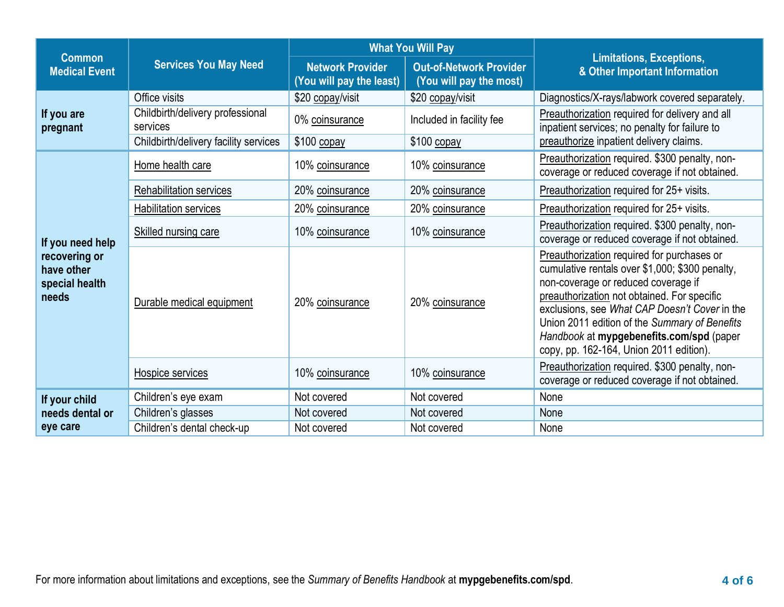|                                                                            |                                              |                                                     | <b>What You Will Pay</b>                                  |                                                                                                                                                                                                                                                                                                                                                                              |  |
|----------------------------------------------------------------------------|----------------------------------------------|-----------------------------------------------------|-----------------------------------------------------------|------------------------------------------------------------------------------------------------------------------------------------------------------------------------------------------------------------------------------------------------------------------------------------------------------------------------------------------------------------------------------|--|
| <b>Common</b><br><b>Medical Event</b>                                      | <b>Services You May Need</b>                 | <b>Network Provider</b><br>(You will pay the least) | <b>Out-of-Network Provider</b><br>(You will pay the most) | <b>Limitations, Exceptions,</b><br>& Other Important Information                                                                                                                                                                                                                                                                                                             |  |
|                                                                            | Office visits                                | \$20 copay/visit                                    | \$20 copay/visit                                          | Diagnostics/X-rays/labwork covered separately.                                                                                                                                                                                                                                                                                                                               |  |
| If you are<br>pregnant                                                     | Childbirth/delivery professional<br>services | 0% coinsurance                                      | Included in facility fee                                  | Preauthorization required for delivery and all<br>inpatient services; no penalty for failure to                                                                                                                                                                                                                                                                              |  |
|                                                                            | Childbirth/delivery facility services        | $$100$ copay                                        | $$100$ copay                                              | preauthorize inpatient delivery claims.                                                                                                                                                                                                                                                                                                                                      |  |
|                                                                            | Home health care                             | 10% coinsurance                                     | 10% coinsurance                                           | Preauthorization required. \$300 penalty, non-<br>coverage or reduced coverage if not obtained.                                                                                                                                                                                                                                                                              |  |
|                                                                            | Rehabilitation services                      | 20% coinsurance                                     | 20% coinsurance                                           | Preauthorization required for 25+ visits.                                                                                                                                                                                                                                                                                                                                    |  |
|                                                                            | Habilitation services                        | 20% coinsurance                                     | 20% coinsurance                                           | Preauthorization required for 25+ visits.                                                                                                                                                                                                                                                                                                                                    |  |
| If you need help<br>recovering or<br>have other<br>special health<br>needs | <b>Skilled nursing care</b>                  | 10% coinsurance                                     | 10% coinsurance                                           | Preauthorization required. \$300 penalty, non-<br>coverage or reduced coverage if not obtained.                                                                                                                                                                                                                                                                              |  |
|                                                                            | Durable medical equipment                    | 20% coinsurance                                     | 20% coinsurance                                           | Preauthorization required for purchases or<br>cumulative rentals over \$1,000; \$300 penalty,<br>non-coverage or reduced coverage if<br>preauthorization not obtained. For specific<br>exclusions, see What CAP Doesn't Cover in the<br>Union 2011 edition of the Summary of Benefits<br>Handbook at mypgebenefits.com/spd (paper<br>copy, pp. 162-164, Union 2011 edition). |  |
|                                                                            | Hospice services                             | 10% coinsurance                                     | 10% coinsurance                                           | Preauthorization required. \$300 penalty, non-<br>coverage or reduced coverage if not obtained.                                                                                                                                                                                                                                                                              |  |
| If your child                                                              | Children's eye exam                          | Not covered                                         | Not covered                                               | None                                                                                                                                                                                                                                                                                                                                                                         |  |
| needs dental or                                                            | Children's glasses                           | Not covered                                         | Not covered                                               | None                                                                                                                                                                                                                                                                                                                                                                         |  |
| eye care                                                                   | Children's dental check-up                   | Not covered                                         | Not covered                                               | None                                                                                                                                                                                                                                                                                                                                                                         |  |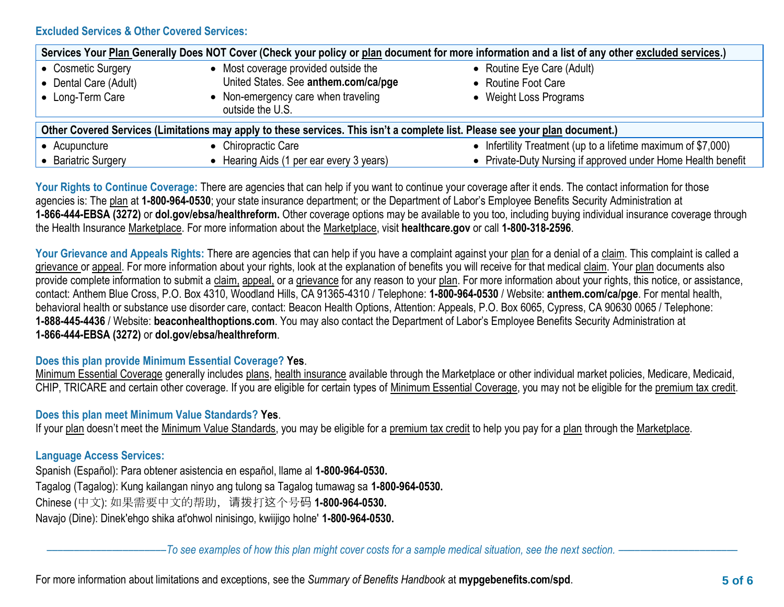### **Excluded Services & Other Covered Services:**

| Services Your Plan Generally Does NOT Cover (Check your policy or plan document for more information and a list of any other excluded services.) |                                                         |  |                                                               |  |  |
|--------------------------------------------------------------------------------------------------------------------------------------------------|---------------------------------------------------------|--|---------------------------------------------------------------|--|--|
| • Cosmetic Surgery                                                                                                                               | • Most coverage provided outside the                    |  | • Routine Eye Care (Adult)                                    |  |  |
| • Dental Care (Adult)                                                                                                                            | United States. See anthem.com/ca/pge                    |  | • Routine Foot Care                                           |  |  |
| • Long-Term Care                                                                                                                                 | • Non-emergency care when traveling<br>outside the U.S. |  | • Weight Loss Programs                                        |  |  |
| Other Covered Services (Limitations may apply to these services. This isn't a complete list. Please see your plan document.)                     |                                                         |  |                                                               |  |  |
| • Acupuncture                                                                                                                                    | • Chiropractic Care                                     |  | • Infertility Treatment (up to a lifetime maximum of \$7,000) |  |  |
| <b>Bariatric Surgery</b>                                                                                                                         | • Hearing Aids (1 per ear every 3 years)                |  | • Private-Duty Nursing if approved under Home Health benefit  |  |  |

Your Rights to Continue Coverage: There are agencies that can help if you want to continue your coverage after it ends. The contact information for those agencies is: The plan at **1-800-964-0530**; your state insurance department; or the Department of Labor's Employee Benefits Security Administration at **1-866-444-EBSA (3272)** or **[dol.gov/ebsa/healthreform.](http://www.dol.gov/ebsa/healthreform)** Other coverage options may be available to you too, including buying individual insurance coverage through the Health Insurance Marketplace. For more information about the Marketplace, visit **healthcare.gov** or call **1-800-318-2596**.

**Your Grievance and Appeals Rights:** There are agencies that can help if you have a complaint against your plan for a denial of a claim. This complaint is called a grievance or appeal. For more information about your rights, look at the explanation of benefits you will receive for that medical claim. Your plan documents also provide complete information to submit a claim, appeal, or a grievance for any reason to your plan. For more information about your rights, this notice, or assistance, contact: Anthem Blue Cross, P.O. Box 4310, Woodland Hills, CA 91365-4310 / Telephone: **1-800-964-0530** / Website: **[anthem.com/ca/pge](http://www.anthem.com/ca/pge)**. For mental health, behavioral health or substance use disorder care, contact: Beacon Health Options, Attention: Appeals, P.O. Box 6065, Cypress, CA 90630 0065 / Telephone: **1-888-445-4436** / Website: **beaconhealthoptions.com**. You may also contact the Department of Labor's Employee Benefits Security Administration at **1-866-444-EBSA (3272)** or **[dol.gov/ebsa/healthreform](http://www.dol.gov/ebsa/healthreform)**.

#### **Does this plan provide Minimum Essential Coverage? Yes**.

Minimum Essential Coverage generally includes plans, health insurance available through the Marketplace or other individual market policies, Medicare, Medicaid, CHIP, TRICARE and certain other coverage. If you are eligible for certain types of Minimum Essential Coverage, you may not be eligible for the premium tax credit.

# **Does this plan meet Minimum Value Standards? Yes**.

If your plan doesn't meet the Minimum Value Standards, you may be eligible for a premium tax credit to help you pay for a plan through the Marketplace.

# **Language Access Services:**

Spanish (Español): Para obtener asistencia en español, llame al **1-800-964-0530.** Tagalog (Tagalog): Kung kailangan ninyo ang tulong sa Tagalog tumawag sa **1-800-964-0530.** Chinese (中文): 如果需要中文的帮助,请拨打这个号码 **1-800-964-0530.** Navajo (Dine): Dinek'ehgo shika at'ohwol ninisingo, kwiijigo holne' **1-800-964-0530.**

––––––––––––––––––––––*To see examples of how this plan might cover costs for a sample medical situation, see the next section.* ––––––––––––––––––––––

For more information about limitations and exceptions, see the *Summary of Benefits Handbook* at **mypgebenefits.com/spd**. **5 of 6**